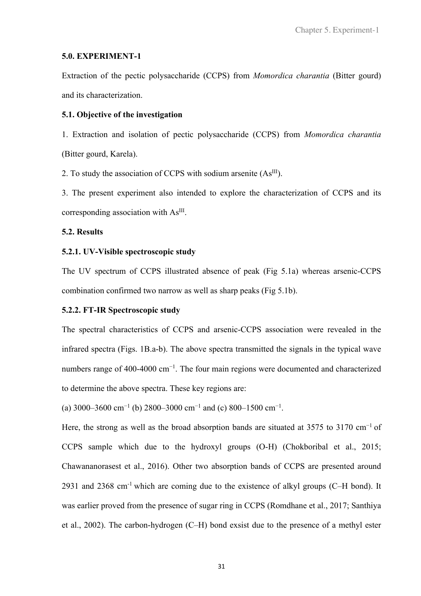### **5.0. EXPERIMENT-1**

Extraction of the pectic polysaccharide (CCPS) from *Momordica charantia* (Bitter gourd) and its characterization.

## **5.1. Objective of the investigation**

1. Extraction and isolation of pectic polysaccharide (CCPS) from *Momordica charantia* (Bitter gourd, Karela).

2. To study the association of CCPS with sodium arsenite  $(As<sup>III</sup>)$ .

3. The present experiment also intended to explore the characterization of CCPS and its corresponding association with As<sup>III</sup>.

## **5.2. Results**

# **5.2.1. UV-Visible spectroscopic study**

The UV spectrum of CCPS illustrated absence of peak (Fig 5.1a) whereas arsenic-CCPS combination confirmed two narrow as well as sharp peaks (Fig 5.1b).

### **5.2.2. FT-IR Spectroscopic study**

The spectral characteristics of CCPS and arsenic-CCPS association were revealed in the infrared spectra (Figs. 1B.a-b). The above spectra transmitted the signals in the typical wave numbers range of 400-4000 cm<sup>-1</sup>. The four main regions were documented and characterized to determine the above spectra. These key regions are:

(a) 3000–3600 cm<sup>-1</sup> (b) 2800–3000 cm<sup>-1</sup> and (c) 800–1500 cm<sup>-1</sup>.

Here, the strong as well as the broad absorption bands are situated at 3575 to 3170 cm<sup>-1</sup> of CCPS sample which due to the hydroxyl groups (O-H) (Chokboribal et al., 2015; Chawananorasest et al., 2016). Other two absorption bands of CCPS are presented around 2931 and 2368 cm-1 which are coming due to the existence of alkyl groups (C–H bond). It was earlier proved from the presence of sugar ring in CCPS (Romdhane et al., 2017; Santhiya et al., 2002). The carbon-hydrogen (C–H) bond exsist due to the presence of a methyl ester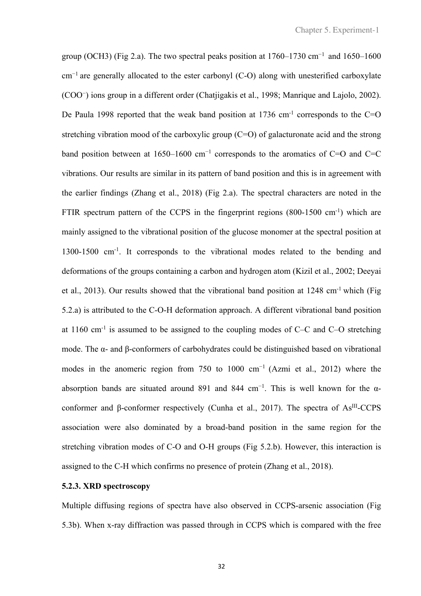group (OCH3) (Fig 2.a). The two spectral peaks position at  $1760-1730$  cm<sup>-1</sup> and  $1650-1600$ cm−1 are generally allocated to the ester carbonyl (C-O) along with unesterified carboxylate (COO<sup>−</sup> ) ions group in a different order (Chatjigakis et al., 1998; Manrique and Lajolo, 2002). De Paula 1998 reported that the weak band position at 1736 cm<sup>-1</sup> corresponds to the C=O stretching vibration mood of the carboxylic group  $(C=O)$  of galacturonate acid and the strong band position between at 1650–1600 cm−1 corresponds to the aromatics of C=O and C=C vibrations. Our results are similar in its pattern of band position and this is in agreement with the earlier findings (Zhang et al., 2018) (Fig 2.a). The spectral characters are noted in the FTIR spectrum pattern of the CCPS in the fingerprint regions  $(800-1500 \text{ cm}^{-1})$  which are mainly assigned to the vibrational position of the glucose monomer at the spectral position at 1300-1500 cm-1. It corresponds to the vibrational modes related to the bending and deformations of the groups containing a carbon and hydrogen atom (Kizil et al., 2002; Deeyai et al., 2013). Our results showed that the vibrational band position at 1248 cm-1 which (Fig 5.2.a) is attributed to the C-O-H deformation approach. A different vibrational band position at  $1160 \text{ cm}^{-1}$  is assumed to be assigned to the coupling modes of C–C and C–O stretching mode. The α- and β-conformers of carbohydrates could be distinguished based on vibrational modes in the anomeric region from 750 to 1000 cm−1 (Azmi et al., 2012) where the absorption bands are situated around 891 and 844 cm<sup>-1</sup>. This is well known for the  $\alpha$ conformer and β-conformer respectively (Cunha et al., 2017). The spectra of As<sup>III</sup>-CCPS association were also dominated by a broad-band position in the same region for the stretching vibration modes of C-O and O-H groups (Fig 5.2.b). However, this interaction is assigned to the C-H which confirms no presence of protein (Zhang et al., 2018).

# **5.2.3. XRD spectroscopy**

Multiple diffusing regions of spectra have also observed in CCPS-arsenic association (Fig 5.3b). When x-ray diffraction was passed through in CCPS which is compared with the free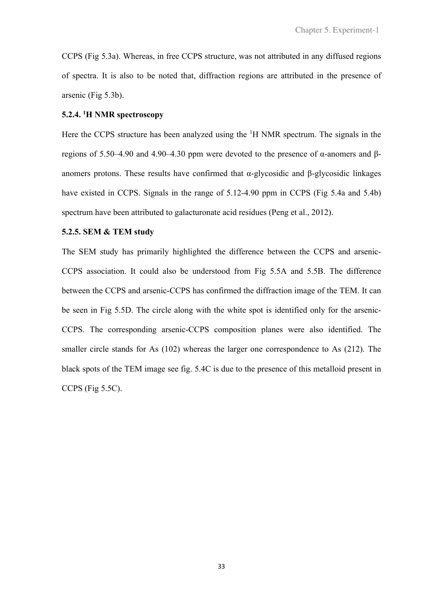CCPS (Fig 5.3a). Whereas, in free CCPS structure, was not attributed in any diffused regions of spectra. It is also to be noted that, diffraction regions are attributed in the presence of arsenic (Fig 5.3b).

# **5.2.4. <sup>1</sup>H NMR spectroscopy**

Here the CCPS structure has been analyzed using the <sup>1</sup>H NMR spectrum. The signals in the regions of 5.50–4.90 and 4.90–4.30 ppm were devoted to the presence of α-anomers and βanomers protons. These results have confirmed that α-glycosidic and β-glycosidic linkages have existed in CCPS. Signals in the range of 5.12-4.90 ppm in CCPS (Fig 5.4a and 5.4b) spectrum have been attributed to galacturonate acid residues (Peng et al., 2012).

#### **5.2.5. SEM & TEM study**

The SEM study has primarily highlighted the difference between the CCPS and arsenic-CCPS association. It could also be understood from Fig 5.5A and 5.5B. The difference between the CCPS and arsenic-CCPS has confirmed the diffraction image of the TEM. It can be seen in Fig 5.5D. The circle along with the white spot is identified only for the arsenic-CCPS. The corresponding arsenic-CCPS composition planes were also identified. The smaller circle stands for As (102) whereas the larger one correspondence to As (212). The black spots of the TEM image see fig. 5.4C is due to the presence of this metalloid present in CCPS (Fig 5.5C).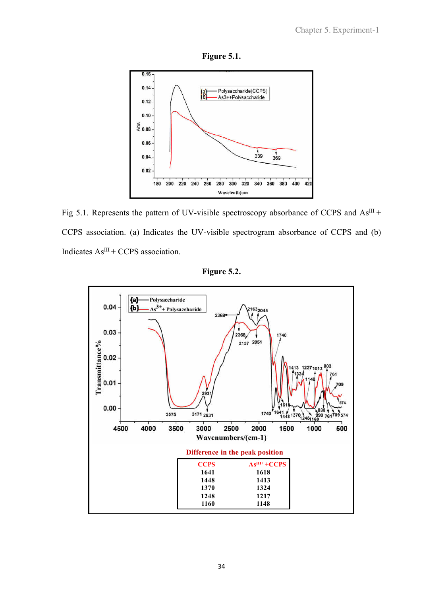



Fig 5.1. Represents the pattern of UV-visible spectroscopy absorbance of CCPS and  $As^{III}$  + CCPS association. (a) Indicates the UV-visible spectrogram absorbance of CCPS and (b) Indicates  $As<sup>III</sup> + CCPS$  association.



**Figure 5.2.**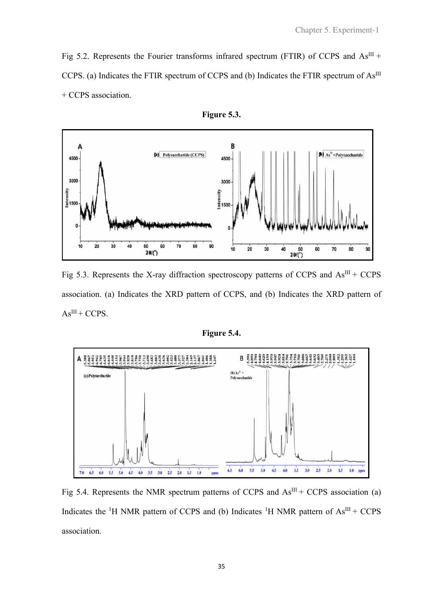Fig 5.2. Represents the Fourier transforms infrared spectrum (FTIR) of CCPS and  $As^{III}$  + CCPS. (a) Indicates the FTIR spectrum of CCPS and (b) Indicates the FTIR spectrum of As<sup>III</sup> + CCPS association.





Fig 5.3. Represents the X-ray diffraction spectroscopy patterns of CCPS and  $As^{III}$  + CCPS association. (a) Indicates the XRD pattern of CCPS, and (b) Indicates the XRD pattern of  $As<sup>III</sup> + CCPS.$ 

**Figure 5.4.** 



Fig 5.4. Represents the NMR spectrum patterns of CCPS and  $As<sup>III</sup> + CCPS$  association (a) Indicates the <sup>1</sup>H NMR pattern of CCPS and (b) Indicates <sup>1</sup>H NMR pattern of  $As^{III} + CCPS$ association.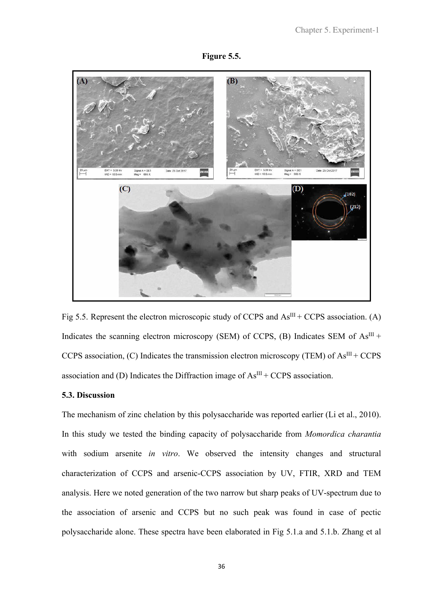



Fig 5.5. Represent the electron microscopic study of CCPS and  $As<sup>III</sup> + CCPS$  association. (A) Indicates the scanning electron microscopy (SEM) of CCPS, (B) Indicates SEM of  $As<sup>III</sup> +$ CCPS association, (C) Indicates the transmission electron microscopy (TEM) of  $As^{III} + CCPS$ association and (D) Indicates the Diffraction image of  $As<sup>III</sup> + CCPS$  association.

## **5.3. Discussion**

The mechanism of zinc chelation by this polysaccharide was reported earlier (Li et al., 2010). In this study we tested the binding capacity of polysaccharide from *Momordica charantia*  with sodium arsenite *in vitro*. We observed the intensity changes and structural characterization of CCPS and arsenic-CCPS association by UV, FTIR, XRD and TEM analysis. Here we noted generation of the two narrow but sharp peaks of UV-spectrum due to the association of arsenic and CCPS but no such peak was found in case of pectic polysaccharide alone. These spectra have been elaborated in Fig 5.1.a and 5.1.b. Zhang et al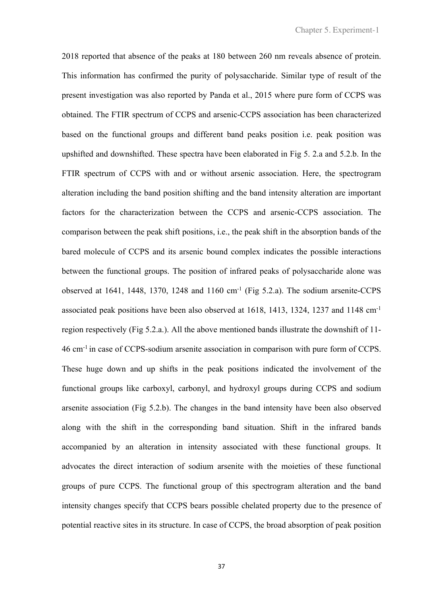2018 reported that absence of the peaks at 180 between 260 nm reveals absence of protein. This information has confirmed the purity of polysaccharide. Similar type of result of the present investigation was also reported by Panda et al., 2015 where pure form of CCPS was obtained. The FTIR spectrum of CCPS and arsenic-CCPS association has been characterized based on the functional groups and different band peaks position i.e. peak position was upshifted and downshifted. These spectra have been elaborated in Fig 5. 2.a and 5.2.b. In the FTIR spectrum of CCPS with and or without arsenic association. Here, the spectrogram alteration including the band position shifting and the band intensity alteration are important factors for the characterization between the CCPS and arsenic-CCPS association. The comparison between the peak shift positions, i.e., the peak shift in the absorption bands of the bared molecule of CCPS and its arsenic bound complex indicates the possible interactions between the functional groups. The position of infrared peaks of polysaccharide alone was observed at 1641, 1448, 1370, 1248 and 1160  $cm^{-1}$  (Fig 5.2.a). The sodium arsenite-CCPS associated peak positions have been also observed at 1618, 1413, 1324, 1237 and 1148 cm-1 region respectively (Fig 5.2.a.). All the above mentioned bands illustrate the downshift of 11- 46 cm-1 in case of CCPS-sodium arsenite association in comparison with pure form of CCPS. These huge down and up shifts in the peak positions indicated the involvement of the functional groups like carboxyl, carbonyl, and hydroxyl groups during CCPS and sodium arsenite association (Fig 5.2.b). The changes in the band intensity have been also observed along with the shift in the corresponding band situation. Shift in the infrared bands accompanied by an alteration in intensity associated with these functional groups. It advocates the direct interaction of sodium arsenite with the moieties of these functional groups of pure CCPS. The functional group of this spectrogram alteration and the band intensity changes specify that CCPS bears possible chelated property due to the presence of potential reactive sites in its structure. In case of CCPS, the broad absorption of peak position